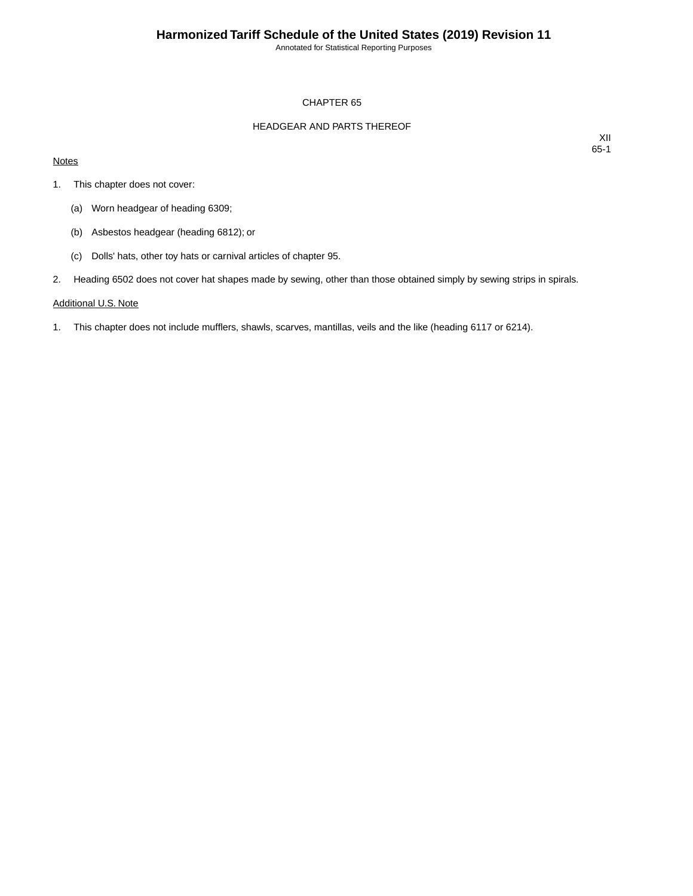Annotated for Statistical Reporting Purposes

### CHAPTER 65

### HEADGEAR AND PARTS THEREOF

### **Notes**

XII 65-1

- 1. This chapter does not cover:
	- (a) Worn headgear of heading 6309;
	- (b) Asbestos headgear (heading 6812); or
	- (c) Dolls' hats, other toy hats or carnival articles of chapter 95.
- 2. Heading 6502 does not cover hat shapes made by sewing, other than those obtained simply by sewing strips in spirals.

#### Additional U.S. Note

1. This chapter does not include mufflers, shawls, scarves, mantillas, veils and the like (heading 6117 or 6214).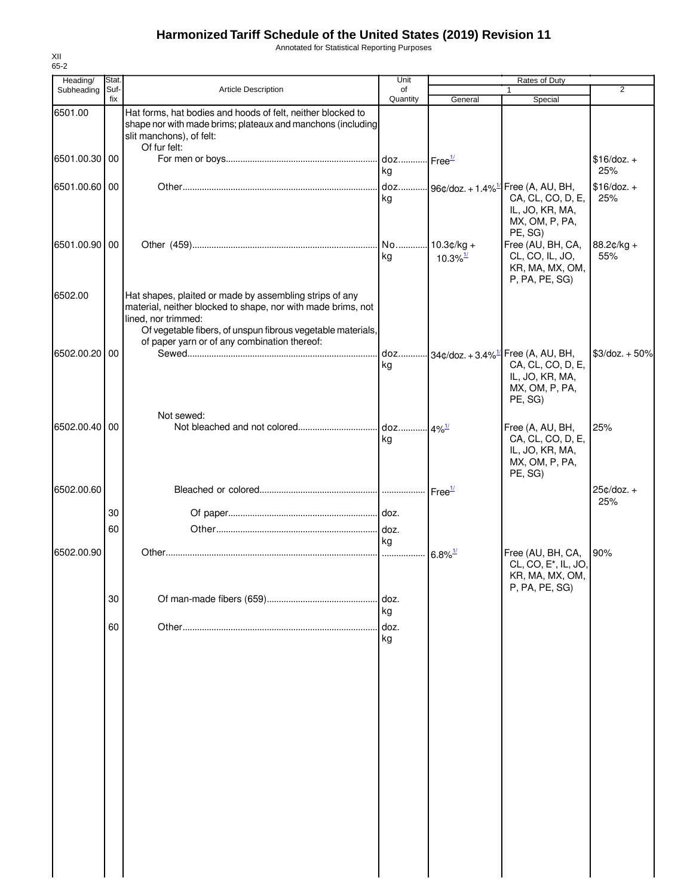Annotated for Statistical Reporting Purposes

| Heading/      | Stat.       |                                                                                                                                                                                                                                                               | Unit           | Rates of Duty                          |                                                                                                                         |                      |
|---------------|-------------|---------------------------------------------------------------------------------------------------------------------------------------------------------------------------------------------------------------------------------------------------------------|----------------|----------------------------------------|-------------------------------------------------------------------------------------------------------------------------|----------------------|
| Subheading    | Suf-<br>fix | Article Description                                                                                                                                                                                                                                           | of<br>Quantity | General                                | $\mathbf{1}$<br>Special                                                                                                 | 2                    |
| 6501.00       |             | Hat forms, hat bodies and hoods of felt, neither blocked to<br>shape nor with made brims; plateaux and manchons (including<br>slit manchons), of felt:<br>Of fur felt:                                                                                        |                |                                        |                                                                                                                         |                      |
| 6501.00.30 00 |             |                                                                                                                                                                                                                                                               | kg             |                                        |                                                                                                                         | $$16$ /doz. +<br>25% |
| 6501.00.60 00 |             |                                                                                                                                                                                                                                                               | kg             |                                        | doz 96¢/doz. + 1.4% <sup>1/</sup> Free (A, AU, BH,<br>CA, CL, CO, D, E,<br>IL, JO, KR, MA,<br>MX, OM, P, PA,<br>PE, SG) | $$16/doz. +$<br>25%  |
| 6501.00.90 00 |             |                                                                                                                                                                                                                                                               | kg             | $10.3¢/kg +$<br>$10.3\%$ <sup>1/</sup> | Free (AU, BH, CA,<br>CL, CO, IL, JO,<br>KR, MA, MX, OM,<br>P, PA, PE, SG)                                               | $88.2¢/kg +$<br>55%  |
| 6502.00       |             | Hat shapes, plaited or made by assembling strips of any<br>material, neither blocked to shape, nor with made brims, not<br>lined, nor trimmed:<br>Of vegetable fibers, of unspun fibrous vegetable materials,<br>of paper yarn or of any combination thereof: |                |                                        |                                                                                                                         |                      |
| 6502.00.20 00 |             |                                                                                                                                                                                                                                                               | doz<br>kg      |                                        | $-34¢$ doz. + 3.4% $^{1/2}$ Free (A, AU, BH,<br>CA, CL, CO, D, E,<br>IL, JO, KR, MA,<br>MX, OM, P, PA,<br>PE, SG)       | $$3$ /doz. + 50%     |
| 6502.00.40 00 |             | Not sewed:                                                                                                                                                                                                                                                    | kg             |                                        | Free (A, AU, BH,<br>CA, CL, CO, D, E,<br>IL, JO, KR, MA,<br>MX, OM, P, PA,<br>PE, SG)                                   | 25%                  |
| 6502.00.60    |             |                                                                                                                                                                                                                                                               |                | Free <sup>1/</sup>                     |                                                                                                                         | $25¢/doz. +$<br>25%  |
|               | 30          |                                                                                                                                                                                                                                                               |                |                                        |                                                                                                                         |                      |
|               | 60          |                                                                                                                                                                                                                                                               | doz.<br>ka     |                                        |                                                                                                                         |                      |
| 6502.00.90    |             |                                                                                                                                                                                                                                                               |                | $6.8\%$ <sup>1/</sup>                  | Free (AU, BH, CA,<br>CL, CO, E <sup>*</sup> , IL, JO,<br>KR, MA, MX, OM,<br>P, PA, PE, SG)                              | 90%                  |
|               | 30          |                                                                                                                                                                                                                                                               | doz.<br>kg     |                                        |                                                                                                                         |                      |
|               | 60          |                                                                                                                                                                                                                                                               | doz.<br>kg     |                                        |                                                                                                                         |                      |
|               |             |                                                                                                                                                                                                                                                               |                |                                        |                                                                                                                         |                      |
|               |             |                                                                                                                                                                                                                                                               |                |                                        |                                                                                                                         |                      |
|               |             |                                                                                                                                                                                                                                                               |                |                                        |                                                                                                                         |                      |
|               |             |                                                                                                                                                                                                                                                               |                |                                        |                                                                                                                         |                      |
|               |             |                                                                                                                                                                                                                                                               |                |                                        |                                                                                                                         |                      |
|               |             |                                                                                                                                                                                                                                                               |                |                                        |                                                                                                                         |                      |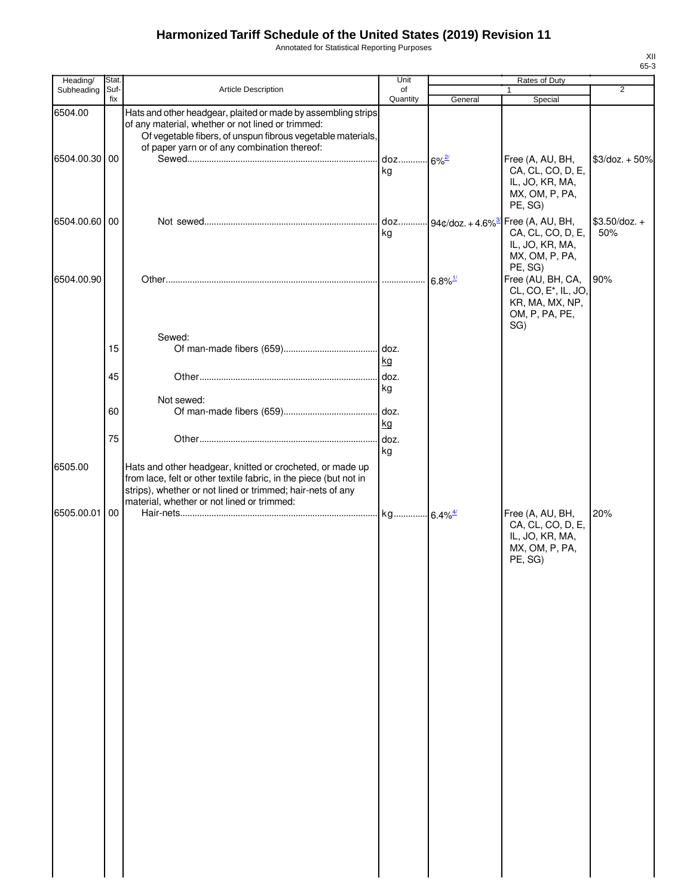Annotated for Statistical Reporting Purposes

| Heading/                 | Stat.       |                                                                                                                                                                                                                                            | Unit                       |         | Rates of Duty                                                                                                |                        |
|--------------------------|-------------|--------------------------------------------------------------------------------------------------------------------------------------------------------------------------------------------------------------------------------------------|----------------------------|---------|--------------------------------------------------------------------------------------------------------------|------------------------|
| Subheading               | Suf-<br>fix | Article Description                                                                                                                                                                                                                        | of<br>Quantity             | General | $\mathbf{1}$<br>Special                                                                                      | $\overline{2}$         |
| 6504.00<br>6504.00.30 00 |             | Hats and other headgear, plaited or made by assembling strips<br>of any material, whether or not lined or trimmed:<br>Of vegetable fibers, of unspun fibrous vegetable materials,<br>of paper yarn or of any combination thereof:          | doz 6% <sup>2/</sup><br>ka |         | Free (A, AU, BH,<br>CA, CL, CO, D, E,<br>IL, JO, KR, MA,<br>MX, OM, P, PA,<br>PE, SG)                        | $$3$ /doz. + 50%       |
| 6504.00.60 00            |             |                                                                                                                                                                                                                                            | kg                         |         | doz 94¢/doz. + 4.6% <sup>3</sup> Free (A, AU, BH,<br>CA, CL, CO, D, E,<br>IL, JO, KR, MA,<br>MX, OM, P, PA,  | $$3.50$ /doz. +<br>50% |
| 6504.00.90               |             |                                                                                                                                                                                                                                            |                            |         | PE, SG)<br>Free (AU, BH, CA,<br>CL, CO, E <sup>*</sup> , IL, JO,<br>KR, MA, MX, NP,<br>OM, P, PA, PE,<br>SG) | 90%                    |
|                          | 15          | Sewed:                                                                                                                                                                                                                                     |                            |         |                                                                                                              |                        |
|                          |             |                                                                                                                                                                                                                                            | kg                         |         |                                                                                                              |                        |
|                          | 45          |                                                                                                                                                                                                                                            | kg                         |         |                                                                                                              |                        |
|                          |             | Not sewed:                                                                                                                                                                                                                                 |                            |         |                                                                                                              |                        |
|                          | 60          |                                                                                                                                                                                                                                            | kg                         |         |                                                                                                              |                        |
|                          | 75          |                                                                                                                                                                                                                                            | kg                         |         |                                                                                                              |                        |
| 6505.00<br>6505.00.01 00 |             | Hats and other headgear, knitted or crocheted, or made up<br>from lace, felt or other textile fabric, in the piece (but not in<br>strips), whether or not lined or trimmed; hair-nets of any<br>material, whether or not lined or trimmed: |                            |         | Free (A, AU, BH,<br>CA, CL, CO, D, E,<br>IL, JO, KR, MA,<br>MX, OM, P, PA,<br>PE, SG)                        | 20%                    |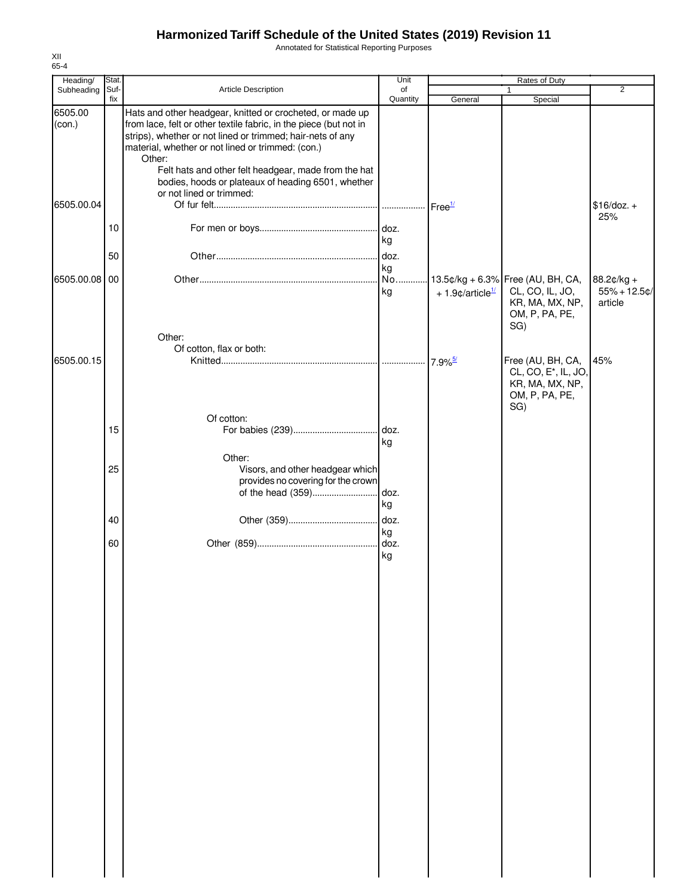Annotated for Statistical Reporting Purposes

| Heading/          | Stat.       |                                                                                                                                                                                                                                                                                                                     | Unit           | Rates of Duty                  |                                                                                                  |                                          |  |
|-------------------|-------------|---------------------------------------------------------------------------------------------------------------------------------------------------------------------------------------------------------------------------------------------------------------------------------------------------------------------|----------------|--------------------------------|--------------------------------------------------------------------------------------------------|------------------------------------------|--|
| Subheading        | Suf-<br>fix | Article Description                                                                                                                                                                                                                                                                                                 | of<br>Quantity |                                |                                                                                                  | $\overline{2}$                           |  |
| 6505.00<br>(con.) |             | Hats and other headgear, knitted or crocheted, or made up<br>from lace, felt or other textile fabric, in the piece (but not in<br>strips), whether or not lined or trimmed; hair-nets of any<br>material, whether or not lined or trimmed: (con.)<br>Other:<br>Felt hats and other felt headgear, made from the hat |                | General                        | Special                                                                                          |                                          |  |
| 6505.00.04        |             | bodies, hoods or plateaux of heading 6501, whether<br>or not lined or trimmed:                                                                                                                                                                                                                                      |                |                                |                                                                                                  | $$16/doz. +$<br>25%                      |  |
|                   | 10          |                                                                                                                                                                                                                                                                                                                     | kg             |                                |                                                                                                  |                                          |  |
|                   | 50          |                                                                                                                                                                                                                                                                                                                     | doz.<br>kg     |                                |                                                                                                  |                                          |  |
| 6505.00.08        | 00          |                                                                                                                                                                                                                                                                                                                     | No<br>kg       | $+1.9$ ¢/article <sup>1/</sup> | 13.5¢/kg + 6.3% Free (AU, BH, CA,<br>CL, CO, IL, JO,<br>KR, MA, MX, NP,<br>OM, P, PA, PE,<br>SG) | 88.2¢/kg +<br>$55% + 12.5$ ¢/<br>article |  |
|                   |             | Other:<br>Of cotton, flax or both:                                                                                                                                                                                                                                                                                  |                |                                |                                                                                                  |                                          |  |
| 6505.00.15        |             |                                                                                                                                                                                                                                                                                                                     |                | $7.9\%$ <sup>5/</sup>          | Free (AU, BH, CA,<br>CL, CO, E <sup>*</sup> , IL, JO,<br>KR, MA, MX, NP,<br>OM, P, PA, PE,       | 45%                                      |  |
|                   |             | Of cotton:                                                                                                                                                                                                                                                                                                          |                |                                | SG)                                                                                              |                                          |  |
|                   | 15          |                                                                                                                                                                                                                                                                                                                     | kg             |                                |                                                                                                  |                                          |  |
|                   | 25          | Other:<br>Visors, and other headgear which<br>provides no covering for the crown                                                                                                                                                                                                                                    |                |                                |                                                                                                  |                                          |  |
|                   | 40          |                                                                                                                                                                                                                                                                                                                     | kg             |                                |                                                                                                  |                                          |  |
|                   | 60          |                                                                                                                                                                                                                                                                                                                     | kg             |                                |                                                                                                  |                                          |  |
|                   |             |                                                                                                                                                                                                                                                                                                                     | doz.<br>kg     |                                |                                                                                                  |                                          |  |
|                   |             |                                                                                                                                                                                                                                                                                                                     |                |                                |                                                                                                  |                                          |  |
|                   |             |                                                                                                                                                                                                                                                                                                                     |                |                                |                                                                                                  |                                          |  |
|                   |             |                                                                                                                                                                                                                                                                                                                     |                |                                |                                                                                                  |                                          |  |
|                   |             |                                                                                                                                                                                                                                                                                                                     |                |                                |                                                                                                  |                                          |  |
|                   |             |                                                                                                                                                                                                                                                                                                                     |                |                                |                                                                                                  |                                          |  |
|                   |             |                                                                                                                                                                                                                                                                                                                     |                |                                |                                                                                                  |                                          |  |
|                   |             |                                                                                                                                                                                                                                                                                                                     |                |                                |                                                                                                  |                                          |  |
|                   |             |                                                                                                                                                                                                                                                                                                                     |                |                                |                                                                                                  |                                          |  |
|                   |             |                                                                                                                                                                                                                                                                                                                     |                |                                |                                                                                                  |                                          |  |
|                   |             |                                                                                                                                                                                                                                                                                                                     |                |                                |                                                                                                  |                                          |  |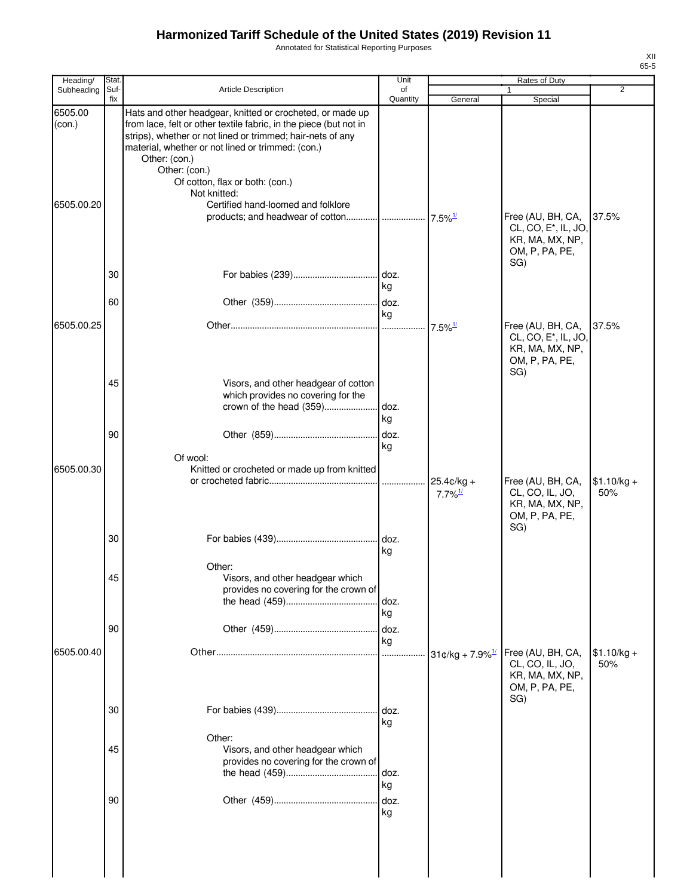Annotated for Statistical Reporting Purposes

| Heading/          | <b>Stat</b> |                                                                                                                                                                                                                                                                                                                                        | Unit               |                                        | Rates of Duty                                                                                     |                     |
|-------------------|-------------|----------------------------------------------------------------------------------------------------------------------------------------------------------------------------------------------------------------------------------------------------------------------------------------------------------------------------------------|--------------------|----------------------------------------|---------------------------------------------------------------------------------------------------|---------------------|
| Subheading        | Suf-<br>fix | <b>Article Description</b>                                                                                                                                                                                                                                                                                                             | of<br>Quantity     | General                                | Special                                                                                           | $\overline{2}$      |
| 6505.00<br>(con.) |             | Hats and other headgear, knitted or crocheted, or made up<br>from lace, felt or other textile fabric, in the piece (but not in<br>strips), whether or not lined or trimmed; hair-nets of any<br>material, whether or not lined or trimmed: (con.)<br>Other: (con.)<br>Other: (con.)<br>Of cotton, flax or both: (con.)<br>Not knitted: |                    |                                        |                                                                                                   |                     |
| 6505.00.20        | 30<br>60    | Certified hand-loomed and folklore                                                                                                                                                                                                                                                                                                     | kg                 | $7.5\%$ <sup>1/</sup>                  | Free (AU, BH, CA,<br>CL, CO, E <sup>*</sup> , IL, JO,<br>KR, MA, MX, NP,<br>OM, P, PA, PE,<br>SG) | 37.5%               |
| 6505.00.25        |             |                                                                                                                                                                                                                                                                                                                                        | kg                 | $7.5\%$ <sup>1/</sup>                  | Free (AU, BH, CA,<br>CL, CO, E <sup>*</sup> , IL, JO,<br>KR, MA, MX, NP,<br>OM, P, PA, PE,<br>SG) | 37.5%               |
|                   | 45<br>90    | Visors, and other headgear of cotton<br>which provides no covering for the<br>crown of the head (359)<br>Of wool:                                                                                                                                                                                                                      | doz.<br>kg<br>kg   |                                        |                                                                                                   |                     |
| 6505.00.30        |             | Knitted or crocheted or made up from knitted                                                                                                                                                                                                                                                                                           | .                  | $25.4$ ¢/kg +<br>$7.7\%$ <sup>1/</sup> | Free (AU, BH, CA,<br>CL, CO, IL, JO,<br>KR, MA, MX, NP,<br>OM, P, PA, PE,<br>SG)                  | $$1.10/kg +$<br>50% |
|                   | 30<br>45    | Other:<br>Visors, and other headgear which                                                                                                                                                                                                                                                                                             | kg                 |                                        |                                                                                                   |                     |
|                   | 90          | provides no covering for the crown of                                                                                                                                                                                                                                                                                                  | doz.<br>kg<br>doz. |                                        |                                                                                                   |                     |
| 6505.00.40        |             |                                                                                                                                                                                                                                                                                                                                        | kg<br>             | $31¢/kg + 7.9\%$ <sup>1/</sup>         | Free (AU, BH, CA,<br>CL, CO, IL, JO,<br>KR, MA, MX, NP,<br>OM, P, PA, PE,<br>SG)                  | $$1.10/kg +$<br>50% |
|                   | 30<br>45    | Other:<br>Visors, and other headgear which                                                                                                                                                                                                                                                                                             | doz.<br>kg         |                                        |                                                                                                   |                     |
|                   | 90          | provides no covering for the crown of                                                                                                                                                                                                                                                                                                  | doz.<br>kg<br>doz. |                                        |                                                                                                   |                     |
|                   |             |                                                                                                                                                                                                                                                                                                                                        | kg                 |                                        |                                                                                                   |                     |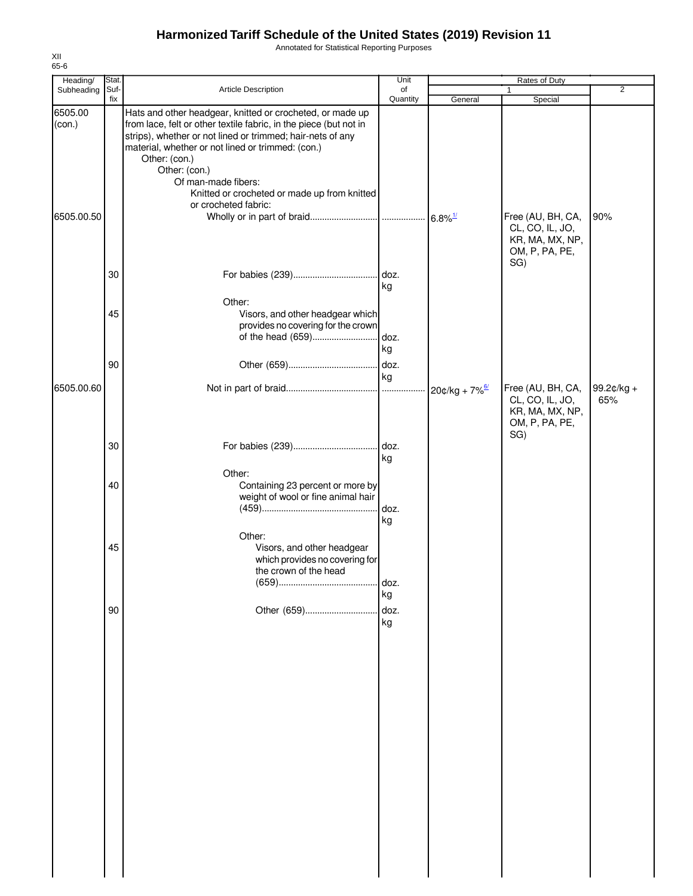Annotated for Statistical Reporting Purposes

| Heading/   | Stat. |                                                                                                                                                                                                       | Unit             |                                    | Rates of Duty                                                                    |                   |
|------------|-------|-------------------------------------------------------------------------------------------------------------------------------------------------------------------------------------------------------|------------------|------------------------------------|----------------------------------------------------------------------------------|-------------------|
| Subheading | Suf-  | Article Description                                                                                                                                                                                   | of<br>Quantity   |                                    |                                                                                  | $\overline{2}$    |
| 6505.00    | fix   | Hats and other headgear, knitted or crocheted, or made up                                                                                                                                             |                  | General                            | Special                                                                          |                   |
| (con.)     |       | from lace, felt or other textile fabric, in the piece (but not in<br>strips), whether or not lined or trimmed; hair-nets of any<br>material, whether or not lined or trimmed: (con.)<br>Other: (con.) |                  |                                    |                                                                                  |                   |
|            |       | Other: (con.)<br>Of man-made fibers:<br>Knitted or crocheted or made up from knitted<br>or crocheted fabric:                                                                                          |                  |                                    |                                                                                  |                   |
| 6505.00.50 |       |                                                                                                                                                                                                       |                  |                                    | Free (AU, BH, CA,<br>CL, CO, IL, JO,<br>KR, MA, MX, NP,<br>OM, P, PA, PE,        | 90%               |
|            | 30    |                                                                                                                                                                                                       | doz.<br>kg       |                                    | SG)                                                                              |                   |
|            | 45    | Other:<br>Visors, and other headgear which<br>provides no covering for the crown<br>of the head (659)                                                                                                 | doz.             |                                    |                                                                                  |                   |
|            | 90    |                                                                                                                                                                                                       | kg<br>doz.<br>kg |                                    |                                                                                  |                   |
| 6505.00.60 |       |                                                                                                                                                                                                       |                  | $\cdot$ 20¢/kg + 7% $\frac{67}{1}$ | Free (AU, BH, CA,<br>CL, CO, IL, JO,<br>KR, MA, MX, NP,<br>OM, P, PA, PE,<br>SG) | 99.2¢/kg +<br>65% |
|            | 30    |                                                                                                                                                                                                       | . doz.<br>kg     |                                    |                                                                                  |                   |
|            | 40    | Other:<br>Containing 23 percent or more by<br>weight of wool or fine animal hair                                                                                                                      | doz.<br>kg       |                                    |                                                                                  |                   |
|            | 45    | Other:<br>Visors, and other headgear<br>which provides no covering for<br>the crown of the head                                                                                                       | doz.             |                                    |                                                                                  |                   |
|            |       |                                                                                                                                                                                                       | kg               |                                    |                                                                                  |                   |
|            | 90    | Other (659)                                                                                                                                                                                           | doz.             |                                    |                                                                                  |                   |
|            |       |                                                                                                                                                                                                       | kg               |                                    |                                                                                  |                   |
|            |       |                                                                                                                                                                                                       |                  |                                    |                                                                                  |                   |
|            |       |                                                                                                                                                                                                       |                  |                                    |                                                                                  |                   |
|            |       |                                                                                                                                                                                                       |                  |                                    |                                                                                  |                   |
|            |       |                                                                                                                                                                                                       |                  |                                    |                                                                                  |                   |
|            |       |                                                                                                                                                                                                       |                  |                                    |                                                                                  |                   |
|            |       |                                                                                                                                                                                                       |                  |                                    |                                                                                  |                   |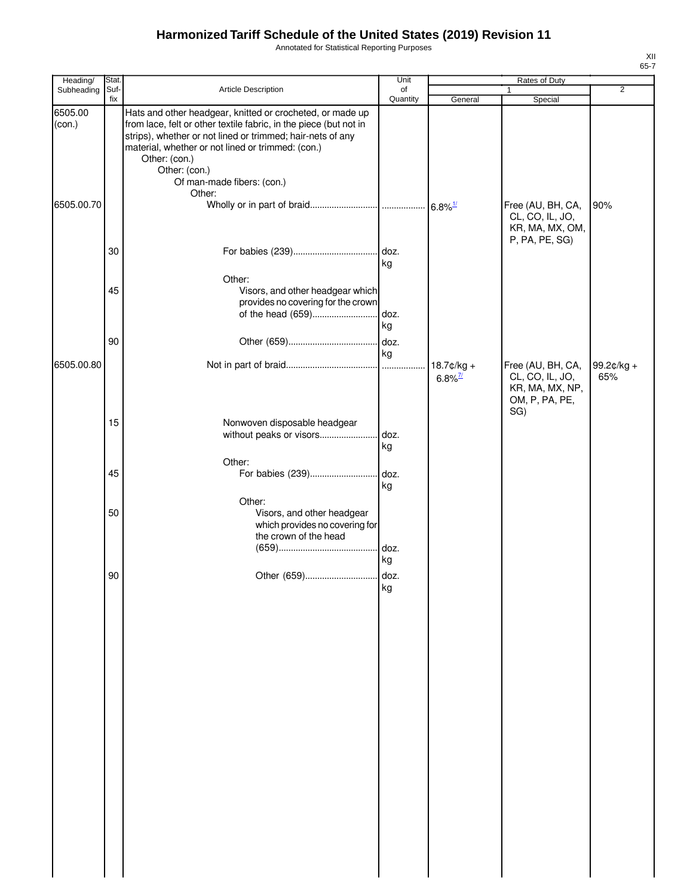Annotated for Statistical Reporting Purposes

| Heading/          | Stat.       |                                                                                                                                                                                                                                                                                                                   | Unit           |                                        |                                                         |                       |
|-------------------|-------------|-------------------------------------------------------------------------------------------------------------------------------------------------------------------------------------------------------------------------------------------------------------------------------------------------------------------|----------------|----------------------------------------|---------------------------------------------------------|-----------------------|
| Subheading        | Suf-<br>fix | Article Description                                                                                                                                                                                                                                                                                               | of<br>Quantity | General                                | 1<br>Special                                            | $\overline{2}$        |
| 6505.00<br>(con.) |             | Hats and other headgear, knitted or crocheted, or made up<br>from lace, felt or other textile fabric, in the piece (but not in<br>strips), whether or not lined or trimmed; hair-nets of any<br>material, whether or not lined or trimmed: (con.)<br>Other: (con.)<br>Other: (con.)<br>Of man-made fibers: (con.) |                |                                        |                                                         |                       |
| 6505.00.70        |             | Other:                                                                                                                                                                                                                                                                                                            |                |                                        | Free (AU, BH, CA,<br>CL, CO, IL, JO,<br>KR, MA, MX, OM, | 90%                   |
|                   | 30          |                                                                                                                                                                                                                                                                                                                   | kg             |                                        | P, PA, PE, SG)                                          |                       |
|                   | 45          | Other:<br>Visors, and other headgear which<br>provides no covering for the crown<br>of the head (659)                                                                                                                                                                                                             | doz.<br>kg     |                                        |                                                         |                       |
| 6505.00.80        | 90          |                                                                                                                                                                                                                                                                                                                   | kg             | $18.7$ ¢/kg +<br>$6.8\%$ <sup>7/</sup> | Free (AU, BH, CA,<br>CL, CO, IL, JO,<br>KR, MA, MX, NP, | 99.2 $¢$ /kg +<br>65% |
|                   | 15          | Nonwoven disposable headgear<br>without peaks or visors                                                                                                                                                                                                                                                           | doz.<br>kg     |                                        | OM, P, PA, PE,<br>SG)                                   |                       |
|                   | 45          | Other:<br>For babies (239)                                                                                                                                                                                                                                                                                        | doz.<br>kg     |                                        |                                                         |                       |
|                   | 50          | Other:<br>Visors, and other headgear<br>which provides no covering for<br>the crown of the head                                                                                                                                                                                                                   | doz.<br>kg     |                                        |                                                         |                       |
|                   | 90          |                                                                                                                                                                                                                                                                                                                   | kg             |                                        |                                                         |                       |
|                   |             |                                                                                                                                                                                                                                                                                                                   |                |                                        |                                                         |                       |
|                   |             |                                                                                                                                                                                                                                                                                                                   |                |                                        |                                                         |                       |
|                   |             |                                                                                                                                                                                                                                                                                                                   |                |                                        |                                                         |                       |
|                   |             |                                                                                                                                                                                                                                                                                                                   |                |                                        |                                                         |                       |
|                   |             |                                                                                                                                                                                                                                                                                                                   |                |                                        |                                                         |                       |
|                   |             |                                                                                                                                                                                                                                                                                                                   |                |                                        |                                                         |                       |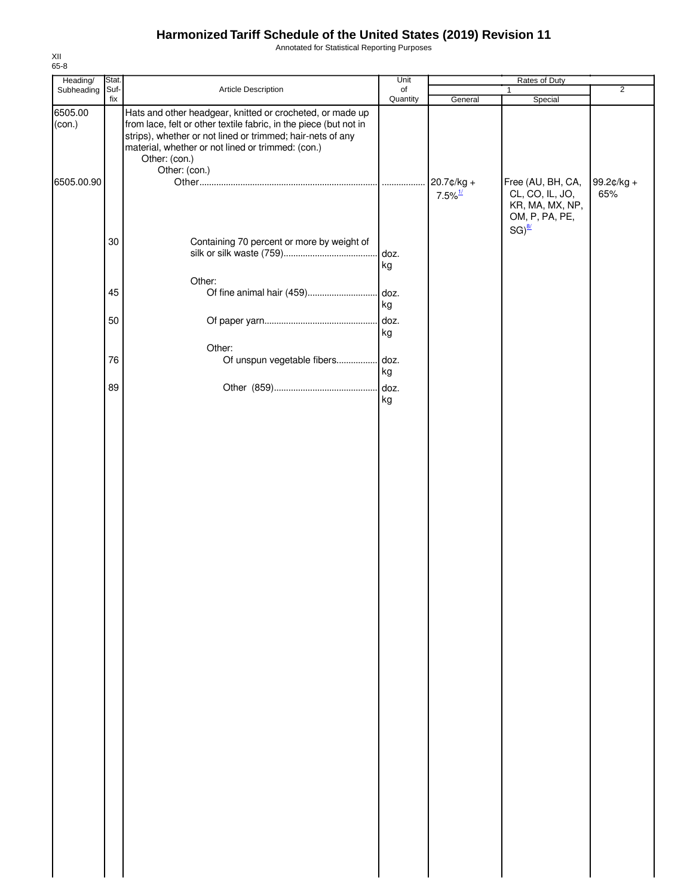Annotated for Statistical Reporting Purposes

| Heading/          | Stat.       |                                                                                                                                                                                                                                                                                     | Unit           | Rates of Duty                       |                                                                           |                   |  |
|-------------------|-------------|-------------------------------------------------------------------------------------------------------------------------------------------------------------------------------------------------------------------------------------------------------------------------------------|----------------|-------------------------------------|---------------------------------------------------------------------------|-------------------|--|
| Subheading        | Suf-<br>fix | Article Description                                                                                                                                                                                                                                                                 | of<br>Quantity | General                             | $\mathbf{1}$<br>Special                                                   | $\overline{2}$    |  |
| 6505.00<br>(con.) |             | Hats and other headgear, knitted or crocheted, or made up<br>from lace, felt or other textile fabric, in the piece (but not in<br>strips), whether or not lined or trimmed; hair-nets of any<br>material, whether or not lined or trimmed: (con.)<br>Other: (con.)<br>Other: (con.) |                |                                     |                                                                           |                   |  |
| 6505.00.90        |             |                                                                                                                                                                                                                                                                                     | .              | 20.7¢/kg +<br>$7.5\%$ <sup>1/</sup> | Free (AU, BH, CA,<br>CL, CO, IL, JO,<br>KR, MA, MX, NP,<br>OM, P, PA, PE, | 99.2¢/kg +<br>65% |  |
|                   | 30          | Containing 70 percent or more by weight of                                                                                                                                                                                                                                          | doz.<br>kg     |                                     | $SG)^{\frac{8}{2}}$                                                       |                   |  |
|                   | 45          | Other:                                                                                                                                                                                                                                                                              | kg             |                                     |                                                                           |                   |  |
|                   | 50          |                                                                                                                                                                                                                                                                                     | doz.<br>kg     |                                     |                                                                           |                   |  |
|                   | 76          | Other:<br>Of unspun vegetable fibers doz.                                                                                                                                                                                                                                           | kg             |                                     |                                                                           |                   |  |
|                   | 89          |                                                                                                                                                                                                                                                                                     | kg             |                                     |                                                                           |                   |  |
|                   |             |                                                                                                                                                                                                                                                                                     |                |                                     |                                                                           |                   |  |
|                   |             |                                                                                                                                                                                                                                                                                     |                |                                     |                                                                           |                   |  |
|                   |             |                                                                                                                                                                                                                                                                                     |                |                                     |                                                                           |                   |  |
|                   |             |                                                                                                                                                                                                                                                                                     |                |                                     |                                                                           |                   |  |
|                   |             |                                                                                                                                                                                                                                                                                     |                |                                     |                                                                           |                   |  |
|                   |             |                                                                                                                                                                                                                                                                                     |                |                                     |                                                                           |                   |  |
|                   |             |                                                                                                                                                                                                                                                                                     |                |                                     |                                                                           |                   |  |
|                   |             |                                                                                                                                                                                                                                                                                     |                |                                     |                                                                           |                   |  |
|                   |             |                                                                                                                                                                                                                                                                                     |                |                                     |                                                                           |                   |  |
|                   |             |                                                                                                                                                                                                                                                                                     |                |                                     |                                                                           |                   |  |
|                   |             |                                                                                                                                                                                                                                                                                     |                |                                     |                                                                           |                   |  |
|                   |             |                                                                                                                                                                                                                                                                                     |                |                                     |                                                                           |                   |  |
|                   |             |                                                                                                                                                                                                                                                                                     |                |                                     |                                                                           |                   |  |
|                   |             |                                                                                                                                                                                                                                                                                     |                |                                     |                                                                           |                   |  |
|                   |             |                                                                                                                                                                                                                                                                                     |                |                                     |                                                                           |                   |  |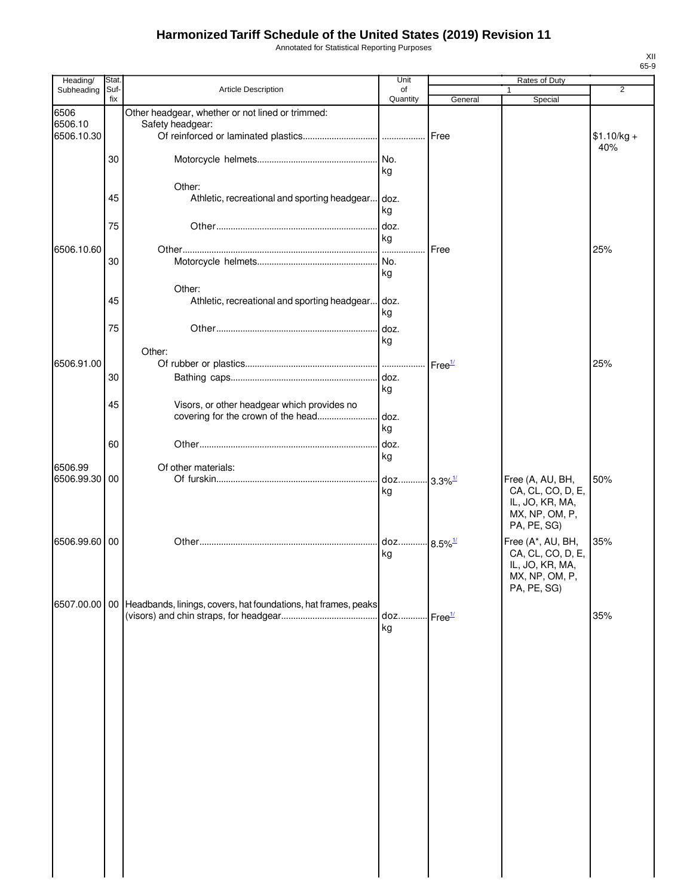Annotated for Statistical Reporting Purposes

| Heading/      | Stat.       |                                                                | Unit           |                                             | Rates of Duty                        |                     |
|---------------|-------------|----------------------------------------------------------------|----------------|---------------------------------------------|--------------------------------------|---------------------|
| Subheading    | Suf-<br>fix | Article Description                                            | of<br>Quantity | General                                     | 1<br>Special                         | $\overline{2}$      |
| 6506          |             | Other headgear, whether or not lined or trimmed:               |                |                                             |                                      |                     |
| 6506.10       |             | Safety headgear:                                               |                |                                             |                                      |                     |
| 6506.10.30    |             |                                                                |                | Free                                        |                                      | $$1.10/kg +$<br>40% |
|               | 30          |                                                                | No.            |                                             |                                      |                     |
|               |             |                                                                | kg             |                                             |                                      |                     |
|               |             | Other:                                                         |                |                                             |                                      |                     |
|               | 45          | Athletic, recreational and sporting headgear doz.              |                |                                             |                                      |                     |
|               |             |                                                                | kg             |                                             |                                      |                     |
|               | 75          |                                                                | doz.           |                                             |                                      |                     |
| 6506.10.60    |             |                                                                | kg<br>….ا      | Free                                        |                                      | 25%                 |
|               | 30          |                                                                | No.            |                                             |                                      |                     |
|               |             |                                                                | kg             |                                             |                                      |                     |
|               |             | Other:                                                         |                |                                             |                                      |                     |
|               | 45          | Athletic, recreational and sporting headgear                   | . doz.         |                                             |                                      |                     |
|               |             |                                                                | kg             |                                             |                                      |                     |
|               | 75          |                                                                | doz.           |                                             |                                      |                     |
|               |             | Other:                                                         | kg             |                                             |                                      |                     |
| 6506.91.00    |             |                                                                | .              | Free <sup>1/</sup>                          |                                      | 25%                 |
|               | 30          |                                                                | doz.           |                                             |                                      |                     |
|               |             |                                                                | kg             |                                             |                                      |                     |
|               | 45          | Visors, or other headgear which provides no                    |                |                                             |                                      |                     |
|               |             | covering for the crown of the head                             | doz.<br>kg     |                                             |                                      |                     |
|               | 60          |                                                                |                |                                             |                                      |                     |
|               |             |                                                                | doz.<br>kg     |                                             |                                      |                     |
| 6506.99       |             | Of other materials:                                            |                |                                             |                                      |                     |
| 6506.99.30    | 00          |                                                                | doz            | $3.3\%$ <sup>1/</sup>                       | Free (A, AU, BH,                     | 50%                 |
|               |             |                                                                | kg             |                                             | CA, CL, CO, D, E,<br>IL, JO, KR, MA, |                     |
|               |             |                                                                |                |                                             | MX, NP, OM, P,                       |                     |
|               |             |                                                                |                |                                             | PA, PE, SG)                          |                     |
| 6506.99.60    | 00          |                                                                | doz            | $.8.5\%$ <sup>1/</sup>                      | Free (A*, AU, BH,                    | 35%                 |
|               |             |                                                                | kg             |                                             | CA, CL, CO, D, E,                    |                     |
|               |             |                                                                |                |                                             | IL, JO, KR, MA,<br>MX, NP, OM, P     |                     |
|               |             |                                                                |                |                                             | PA, PE, SG)                          |                     |
| 6507.00.00 00 |             | Headbands, linings, covers, hat foundations, hat frames, peaks |                |                                             |                                      |                     |
|               |             |                                                                | doz            | $\overline{\phantom{a}}$ Free $\frac{1}{2}$ |                                      | 35%                 |
|               |             |                                                                | kg             |                                             |                                      |                     |
|               |             |                                                                |                |                                             |                                      |                     |
|               |             |                                                                |                |                                             |                                      |                     |
|               |             |                                                                |                |                                             |                                      |                     |
|               |             |                                                                |                |                                             |                                      |                     |
|               |             |                                                                |                |                                             |                                      |                     |
|               |             |                                                                |                |                                             |                                      |                     |
|               |             |                                                                |                |                                             |                                      |                     |
|               |             |                                                                |                |                                             |                                      |                     |
|               |             |                                                                |                |                                             |                                      |                     |
|               |             |                                                                |                |                                             |                                      |                     |
|               |             |                                                                |                |                                             |                                      |                     |
|               |             |                                                                |                |                                             |                                      |                     |
|               |             |                                                                |                |                                             |                                      |                     |
|               |             |                                                                |                |                                             |                                      |                     |
|               |             |                                                                |                |                                             |                                      |                     |
|               |             |                                                                |                |                                             |                                      |                     |